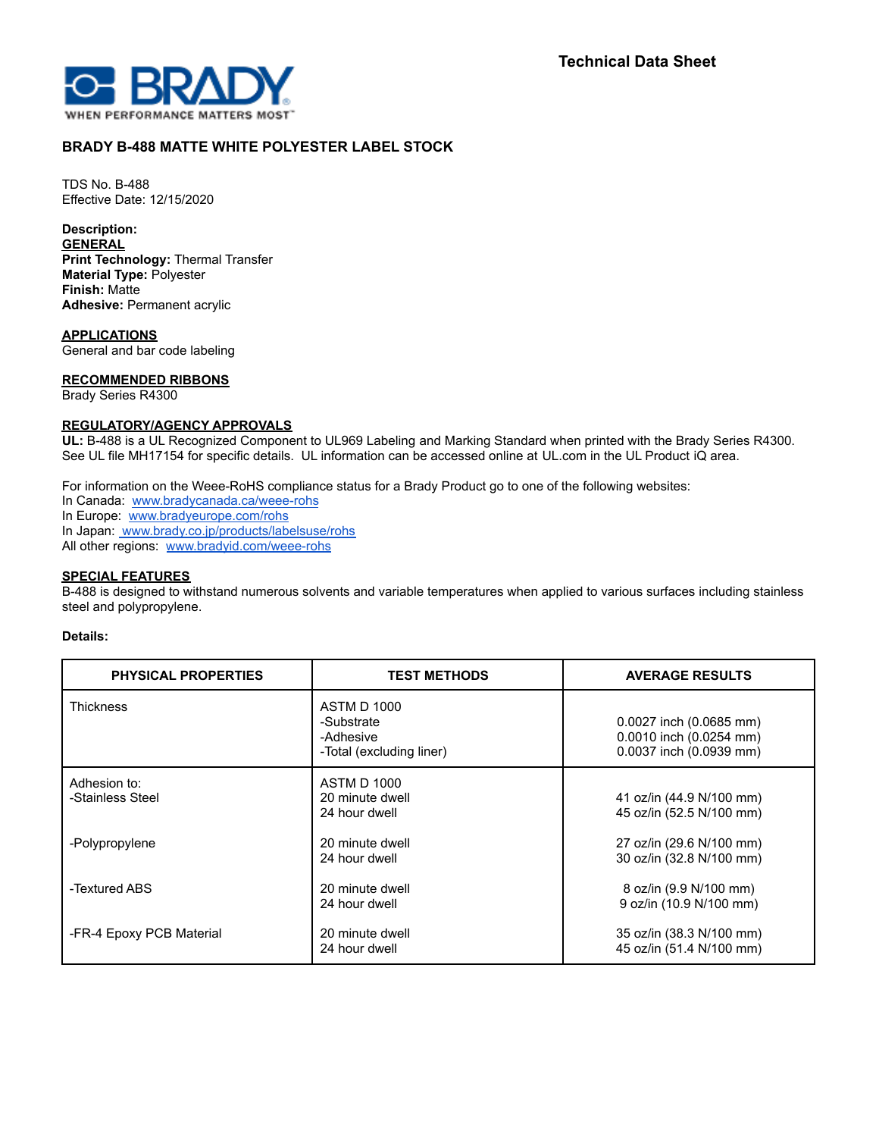

# **BRADY B-488 MATTE WHITE POLYESTER LABEL STOCK**

TDS No. B-488 Effective Date: 12/15/2020

**Description: GENERAL Print Technology:** Thermal Transfer **Material Type:** Polyester **Finish:** Matte **Adhesive:** Permanent acrylic

**APPLICATIONS** General and bar code labeling

### **RECOMMENDED RIBBONS**

Brady Series R4300

#### **REGULATORY/AGENCY APPROVALS**

**UL:** B-488 is a UL Recognized Component to UL969 Labeling and Marking Standard when printed with the Brady Series R4300. See UL file MH17154 for specific details. UL information can be accessed online at UL.com in the UL Product iQ area.

For information on the Weee-RoHS compliance status for a Brady Product go to one of the following websites:

In Canada: [www.bradycanada.ca/weee-rohs](http://www.bradycanada.ca/weee-rohs)

In Europe: [www.bradyeurope.com/rohs](http://www.bradyeurope.com/rohs)

In Japan: www.[brady.co.jp/products/labelsuse/rohs](https://brady.co.jp/products/labelsuse/rohs)

All other regions: [www.bradyid.com/weee-rohs](http://www.bradyid.com/weee-rohs)

## **SPECIAL FEATURES**

B-488 is designed to withstand numerous solvents and variable temperatures when applied to various surfaces including stainless steel and polypropylene.

#### **Details:**

| <b>PHYSICAL PROPERTIES</b>       | <b>TEST METHODS</b>                                                | <b>AVERAGE RESULTS</b>                                                        |
|----------------------------------|--------------------------------------------------------------------|-------------------------------------------------------------------------------|
| <b>Thickness</b>                 | ASTM D 1000<br>-Substrate<br>-Adhesive<br>-Total (excluding liner) | 0.0027 inch (0.0685 mm)<br>0.0010 inch (0.0254 mm)<br>0.0037 inch (0.0939 mm) |
| Adhesion to:<br>-Stainless Steel | <b>ASTM D 1000</b><br>20 minute dwell<br>24 hour dwell             | 41 oz/in (44.9 N/100 mm)<br>45 oz/in (52.5 N/100 mm)                          |
| -Polypropylene                   | 20 minute dwell<br>24 hour dwell                                   | 27 oz/in (29.6 N/100 mm)<br>30 oz/in (32.8 N/100 mm)                          |
| -Textured ABS                    | 20 minute dwell<br>24 hour dwell                                   | 8 oz/in (9.9 N/100 mm)<br>9 oz/in (10.9 N/100 mm)                             |
| -FR-4 Epoxy PCB Material         | 20 minute dwell<br>24 hour dwell                                   | 35 oz/in (38.3 N/100 mm)<br>45 oz/in (51.4 N/100 mm)                          |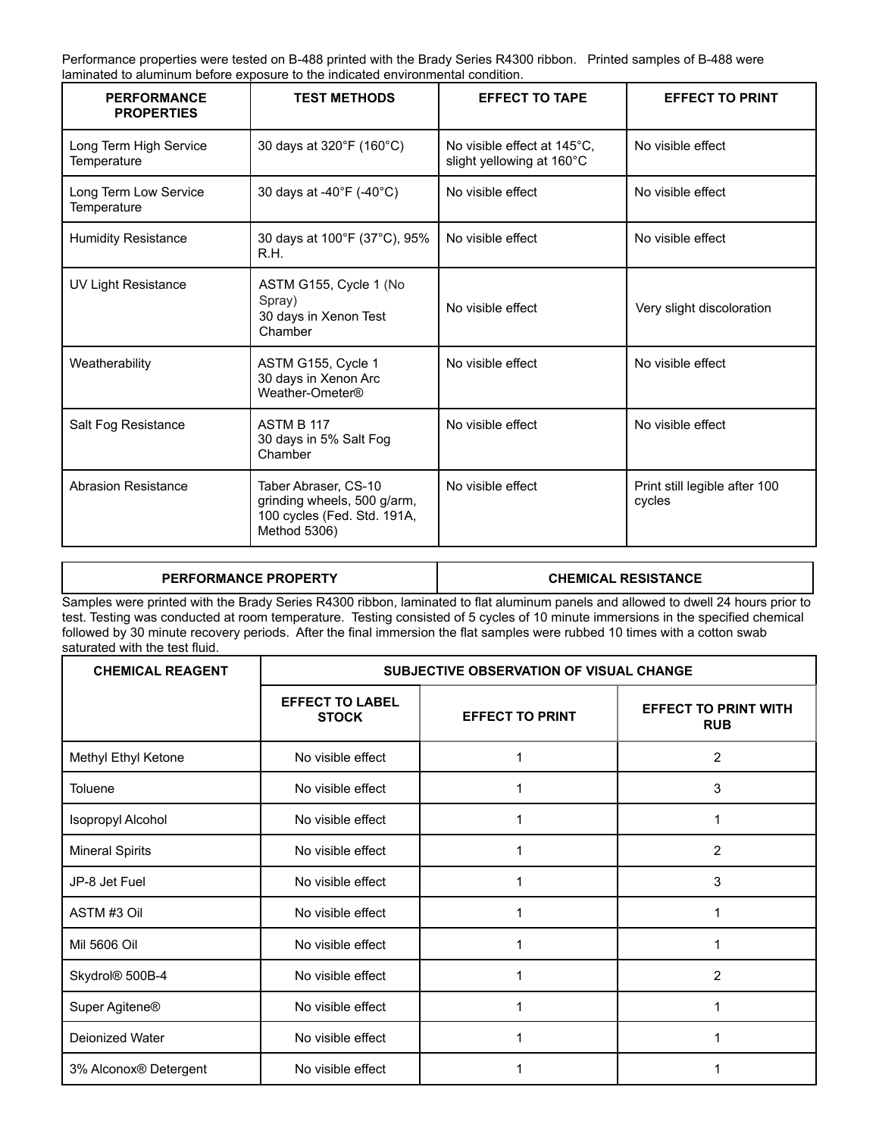Performance properties were tested on B-488 printed with the Brady Series R4300 ribbon. Printed samples of B-488 were laminated to aluminum before exposure to the indicated environmental condition.

| <b>PERFORMANCE</b><br><b>PROPERTIES</b> | <b>TEST METHODS</b>                                                                                | <b>EFFECT TO TAPE</b>                                    | <b>EFFECT TO PRINT</b>                  |
|-----------------------------------------|----------------------------------------------------------------------------------------------------|----------------------------------------------------------|-----------------------------------------|
| Long Term High Service<br>Temperature   | 30 days at 320°F (160°C)                                                                           | No visible effect at 145°C,<br>slight yellowing at 160°C | No visible effect                       |
| Long Term Low Service<br>Temperature    | 30 days at -40°F (-40°C)                                                                           | No visible effect                                        | No visible effect                       |
| <b>Humidity Resistance</b>              | 30 days at 100°F (37°C), 95%<br>R.H.                                                               | No visible effect                                        | No visible effect                       |
| <b>UV Light Resistance</b>              | ASTM G155, Cycle 1 (No<br>Spray)<br>30 days in Xenon Test<br>Chamber                               | No visible effect                                        | Very slight discoloration               |
| Weatherability                          | ASTM G155, Cycle 1<br>30 days in Xenon Arc<br>Weather-Ometer®                                      | No visible effect                                        | No visible effect                       |
| Salt Fog Resistance                     | ASTM B 117<br>30 days in 5% Salt Fog<br>Chamber                                                    | No visible effect                                        | No visible effect                       |
| <b>Abrasion Resistance</b>              | Taber Abraser, CS-10<br>grinding wheels, 500 g/arm,<br>100 cycles (Fed. Std. 191A,<br>Method 5306) | No visible effect                                        | Print still legible after 100<br>cycles |

| PERFORMANCE PROPERTY                                                                                                                                                                                                                                                                                                                                                                                | <b>CHEMICAL RESISTANCE</b> |  |  |  |
|-----------------------------------------------------------------------------------------------------------------------------------------------------------------------------------------------------------------------------------------------------------------------------------------------------------------------------------------------------------------------------------------------------|----------------------------|--|--|--|
| Samples were printed with the Brady Series R4300 ribbon, laminated to flat aluminum panels and allowed to dwell 24 hours prior to<br>test. Testing was conducted at room temperature. Testing consisted of 5 cycles of 10 minute immersions in the specified chemical<br>followed by 30 minute recovery periods. After the final immersion the flat samples were rubbed 10 times with a cotton swab |                            |  |  |  |
| saturated with the test fluid.                                                                                                                                                                                                                                                                                                                                                                      |                            |  |  |  |

| <b>CHEMICAL REAGENT</b> | SUBJECTIVE OBSERVATION OF VISUAL CHANGE |                        |                                           |
|-------------------------|-----------------------------------------|------------------------|-------------------------------------------|
|                         | <b>EFFECT TO LABEL</b><br><b>STOCK</b>  | <b>EFFECT TO PRINT</b> | <b>EFFECT TO PRINT WITH</b><br><b>RUB</b> |
| Methyl Ethyl Ketone     | No visible effect                       |                        | 2                                         |
| Toluene                 | No visible effect                       |                        | 3                                         |
| Isopropyl Alcohol       | No visible effect                       |                        | 1                                         |
| <b>Mineral Spirits</b>  | No visible effect                       |                        | 2                                         |
| JP-8 Jet Fuel           | No visible effect                       |                        | 3                                         |
| ASTM #3 Oil             | No visible effect                       |                        |                                           |
| Mil 5606 Oil            | No visible effect                       |                        |                                           |
| Skydrol® 500B-4         | No visible effect                       |                        | 2                                         |
| Super Agitene®          | No visible effect                       |                        |                                           |
| Deionized Water         | No visible effect                       | 1                      |                                           |
| 3% Alconox® Detergent   | No visible effect                       |                        |                                           |